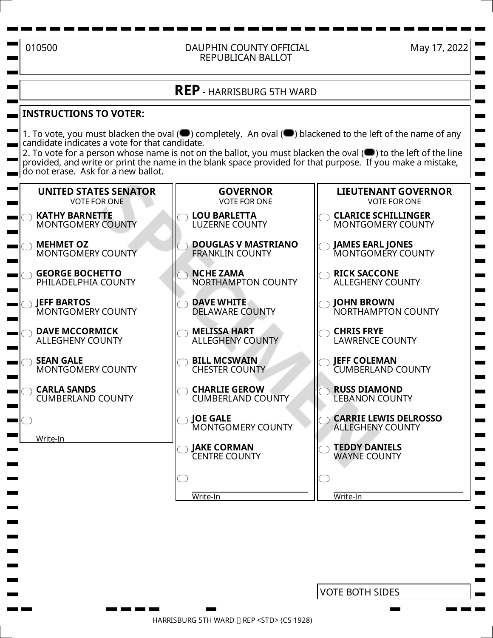## 010500 DAUPHIN COUNTY OFFICIAL REPUBLICAN BALLOT

May 17, 2022

## **REP** - HARRISBURG 5TH WARD

## **INSTRUCTIONS TO VOTER:**

1. To vote, you must blacken the oval (O) completely. An oval (O) blackened to the left of the name of any candidate indicates a vote for that candidate.

2. To vote for a person whose name is not on the ballot, you must blacken the oval  $($ , to the left of the line provided, and write or print the name in the blank space provided for that purpose. If you make a mistake, do not erase. Ask for a new ballot.